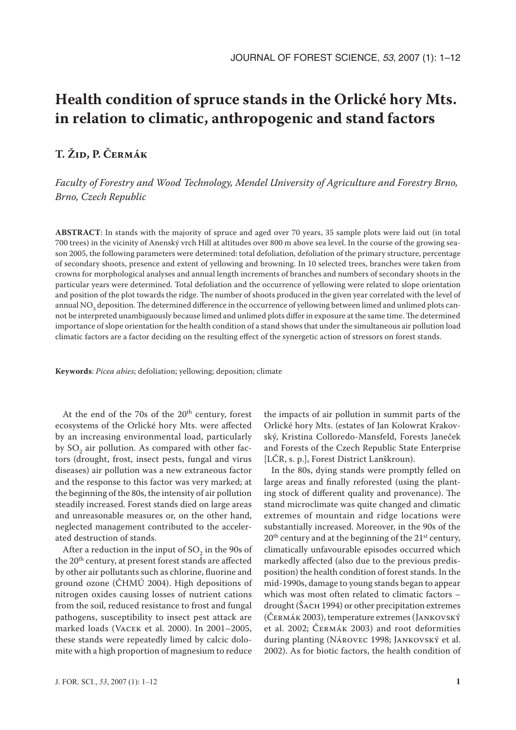# **Health condition of spruce stands in the Orlické hory Mts. in relation to climatic, anthropogenic and stand factors**

## **T. Žid, P. Čermák**

*Faculty of Forestry and Wood Technology, Mendel University of Agriculture and Forestry Brno, Brno, Czech Republic* 

**ABSTRACT**: In stands with the majority of spruce and aged over 70 years, 35 sample plots were laid out (in total 700 trees) in the vicinity of Anenský vrch Hill at altitudes over 800 m above sea level. In the course of the growing season 2005, the following parameters were determined: total defoliation, defoliation of the primary structure, percentage of secondary shoots, presence and extent of yellowing and browning. In 10 selected trees, branches were taken from crowns for morphological analyses and annual length increments of branches and numbers of secondary shoots in the particular years were determined. Total defoliation and the occurrence of yellowing were related to slope orientation and position of the plot towards the ridge. The number of shoots produced in the given year correlated with the level of annual NO $_3$  deposition. The determined difference in the occurrence of yellowing between limed and unlimed plots cannot be interpreted unambiguously because limed and unlimed plots differ in exposure at the same time. The determined importance of slope orientation for the health condition of a stand shows that under the simultaneous air pollution load climatic factors are a factor deciding on the resulting effect of the synergetic action of stressors on forest stands.

**Keywords**: *Picea abies*; defoliation; yellowing; deposition; climate

At the end of the 70s of the 20<sup>th</sup> century, forest ecosystems of the Orlické hory Mts. were affected by an increasing environmental load, particularly by SO<sub>2</sub> air pollution. As compared with other factors (drought, frost, insect pests, fungal and virus diseases) air pollution was a new extraneous factor and the response to this factor was very marked; at the beginning of the 80s, the intensity of air pollution steadily increased. Forest stands died on large areas and unreasonable measures or, on the other hand, neglected management contributed to the accelerated destruction of stands.

After a reduction in the input of SO<sub>2</sub> in the 90s of the 20th century, at present forest stands are affected by other air pollutants such as chlorine, fluorine and ground ozone (ČHMÚ 2004). High depositions of nitrogen oxides causing losses of nutrient cations from the soil, reduced resistance to frost and fungal pathogens, susceptibility to insect pest attack are marked loads (Vacek et al. 2000). In 2001–2005, these stands were repeatedly limed by calcic dolomite with a high proportion of magnesium to reduce

the impacts of air pollution in summit parts of the Orlické hory Mts. (estates of Jan Kolowrat Krakovský, Kristina Colloredo-Mansfeld, Forests Janeček and Forests of the Czech Republic State Enterprise [LČR, s. p.], Forest District Lanškroun).

In the 80s, dying stands were promptly felled on large areas and finally reforested (using the planting stock of different quality and provenance). The stand microclimate was quite changed and climatic extremes of mountain and ridge locations were substantially increased. Moreover, in the 90s of the  $20<sup>th</sup>$  century and at the beginning of the  $21<sup>st</sup>$  century, climatically unfavourable episodes occurred which markedly affected (also due to the previous predisposition) the health condition of forest stands. In the mid-1990s, damage to young stands began to appear which was most often related to climatic factors – drought (Šach 1994) or other precipitation extremes (Čermák 2003), temperature extremes (Jankovský et al. 2002; Čermák 2003) and root deformities during planting (Nárovec 1998; Jankovský et al. 2002). As for biotic factors, the health condition of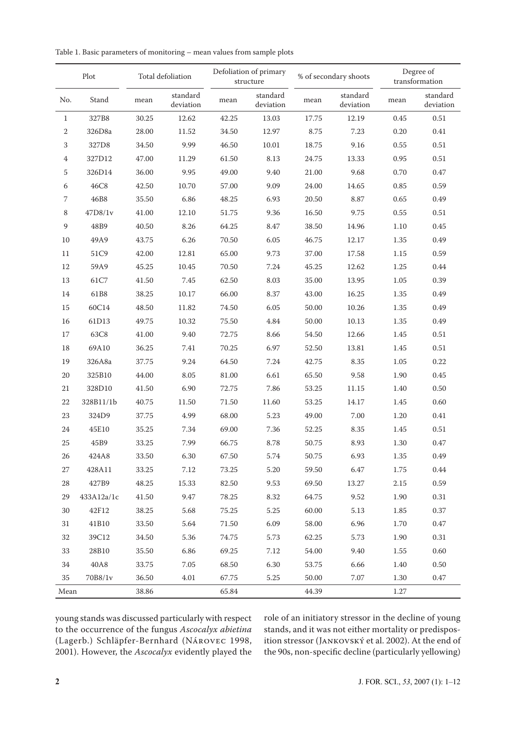|  | Table 1. Basic parameters of monitoring - mean values from sample plots |  |  |  |
|--|-------------------------------------------------------------------------|--|--|--|
|--|-------------------------------------------------------------------------|--|--|--|

|              | Plot       |       | Total defoliation     |           | Defoliation of primary<br>structure |       | % of secondary shoots |          | Degree of<br>transformation |  |
|--------------|------------|-------|-----------------------|-----------|-------------------------------------|-------|-----------------------|----------|-----------------------------|--|
| No.          | Stand      | mean  | standard<br>deviation | mean      | standard<br>deviation               | mean  | standard<br>deviation | mean     | standard<br>deviation       |  |
| $\mathbf{1}$ | 327B8      | 30.25 | 12.62                 | 42.25     | 13.03                               | 17.75 | 12.19                 | 0.45     | 0.51                        |  |
| $\sqrt{2}$   | 326D8a     | 28.00 | 11.52                 | 34.50     | 12.97                               | 8.75  | 7.23                  | 0.20     | 0.41                        |  |
| 3            | 327D8      | 34.50 | 9.99                  | 46.50     | 10.01                               | 18.75 | 9.16                  | 0.55     | 0.51                        |  |
| 4            | 327D12     | 47.00 | 11.29                 | 61.50     | 8.13                                | 24.75 | 13.33                 | 0.95     | 0.51                        |  |
| 5            | 326D14     | 36.00 | 9.95                  | 49.00     | 9.40                                | 21.00 | 9.68                  | 0.70     | 0.47                        |  |
| 6            | 46C8       | 42.50 | 10.70                 | 57.00     | 9.09                                | 24.00 | 14.65                 | 0.85     | 0.59                        |  |
| 7            | 46B8       | 35.50 | 6.86                  | 48.25     | 6.93                                | 20.50 | 8.87                  | 0.65     | 0.49                        |  |
| 8            | 47D8/1v    | 41.00 | 12.10                 | 51.75     | 9.36                                | 16.50 | 9.75                  | 0.55     | 0.51                        |  |
| 9            | 48B9       | 40.50 | 8.26                  | 64.25     | 8.47                                | 38.50 | 14.96                 | 1.10     | 0.45                        |  |
| 10           | 49A9       | 43.75 | 6.26                  | 70.50     | 6.05                                | 46.75 | 12.17                 | 1.35     | 0.49                        |  |
| 11           | 51C9       | 42.00 | 12.81                 | 65.00     | 9.73                                | 37.00 | 17.58                 | 1.15     | 0.59                        |  |
| 12           | 59A9       | 45.25 | 10.45                 | 70.50     | 7.24                                | 45.25 | 12.62                 | 1.25     | 0.44                        |  |
| 13           | 61C7       | 41.50 | 7.45                  | 62.50     | 8.03                                | 35.00 | 13.95                 | 1.05     | 0.39                        |  |
| 14           | 61B8       | 38.25 | 10.17                 | 66.00     | 8.37                                | 43.00 | 16.25                 | 1.35     | 0.49                        |  |
| 15           | 60C14      | 48.50 | 11.82                 | 74.50     | 6.05                                | 50.00 | 10.26                 | 1.35     | 0.49                        |  |
| 16           | 61D13      | 49.75 | 10.32                 | 75.50     | 4.84                                | 50.00 | 10.13                 | 1.35     | 0.49                        |  |
| 17           | 63C8       | 41.00 | 9.40                  | 72.75     | 8.66                                | 54.50 | 12.66                 | 1.45     | 0.51                        |  |
| 18           | 69A10      | 36.25 | 7.41                  | 70.25     | 6.97                                | 52.50 | 13.81                 | 1.45     | 0.51                        |  |
| 19           | 326A8a     | 37.75 | 9.24                  | 64.50     | 7.24                                | 42.75 | 8.35                  | 1.05     | 0.22                        |  |
| 20           | 325B10     | 44.00 | 8.05                  | 81.00     | 6.61                                | 65.50 | 9.58                  | 1.90     | 0.45                        |  |
| 21           | 328D10     | 41.50 | 6.90                  | 72.75     | 7.86                                | 53.25 | 11.15                 | 1.40     | 0.50                        |  |
| 22           | 328B11/1b  | 40.75 | 11.50                 | 71.50     | 11.60                               | 53.25 | 14.17                 | 1.45     | 0.60                        |  |
| 23           | 324D9      | 37.75 | 4.99                  | 68.00     | 5.23                                | 49.00 | 7.00                  | 1.20     | 0.41                        |  |
| 24           | 45E10      | 35.25 | 7.34                  | 69.00     | 7.36                                | 52.25 | 8.35                  | 1.45     | 0.51                        |  |
| 25           | 45B9       | 33.25 | 7.99                  | 66.75     | 8.78                                | 50.75 | 8.93                  | 1.30     | 0.47                        |  |
| 26           | 424A8      | 33.50 | 6.30                  | 67.50     | 5.74                                | 50.75 | 6.93                  | $1.35\,$ | 0.49                        |  |
| 27           | 428A11     | 33.25 | 7.12                  | 73.25     | 5.20                                | 59.50 | 6.47                  | 1.75     | $0.44\,$                    |  |
| 28           | 427B9      | 48.25 | 15.33                 | 82.50     | 9.53                                | 69.50 | 13.27                 | $2.15\,$ | 0.59                        |  |
| 29           | 433A12a/1c | 41.50 | 9.47                  | 78.25     | 8.32                                | 64.75 | 9.52                  | 1.90     | 0.31                        |  |
| 30           | 42F12      | 38.25 | 5.68                  | 75.25     | $5.25\,$                            | 60.00 | 5.13                  | $1.85\,$ | $0.37\,$                    |  |
| 31           | 41B10      | 33.50 | 5.64                  | $71.50\,$ | 6.09                                | 58.00 | 6.96                  | 1.70     | $0.47\,$                    |  |
| 32           | 39C12      | 34.50 | 5.36                  | 74.75     | 5.73                                | 62.25 | 5.73                  | 1.90     | 0.31                        |  |
| 33           | 28B10      | 35.50 | 6.86                  | 69.25     | 7.12                                | 54.00 | 9.40                  | 1.55     | 0.60                        |  |
| 34           | 40A8       | 33.75 | 7.05                  | 68.50     | 6.30                                | 53.75 | 6.66                  | 1.40     | 0.50                        |  |
| 35           | 70B8/1v    | 36.50 | 4.01                  | 67.75     | 5.25                                | 50.00 | 7.07                  | 1.30     | 0.47                        |  |
| Mean         |            | 38.86 |                       | 65.84     |                                     | 44.39 |                       | 1.27     |                             |  |

young stands was discussed particularly with respect to the occurrence of the fungus *Ascocalyx abietina*  (Lagerb.) Schläpfer-Bernhard (Nárovec 1998, 2001). However, the *Ascocalyx* evidently played the

role of an initiatory stressor in the decline of young stands, and it was not either mortality or predisposition stressor (Jankovský et al. 2002). At the end of the 90s, non-specific decline (particularly yellowing)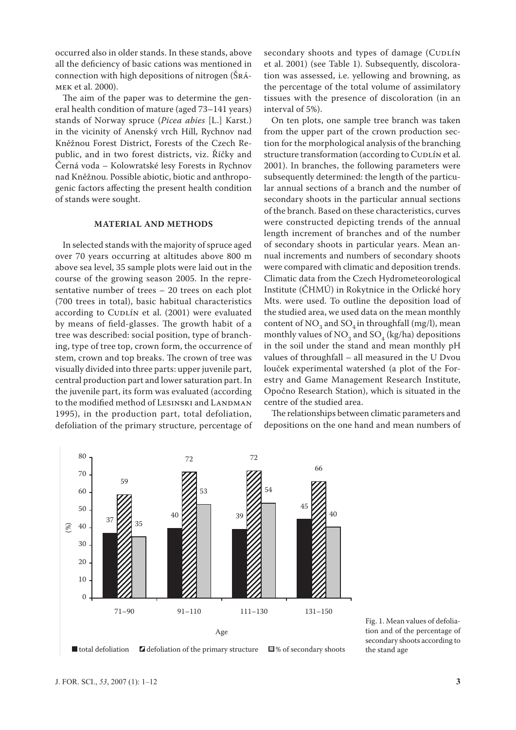occurred also in older stands. In these stands, above all the deficiency of basic cations was mentioned in connection with high depositions of nitrogen (Šrámek et al. 2000).

The aim of the paper was to determine the general health condition of mature (aged 73–141 years) stands of Norway spruce (*Picea abies* [L.] Karst.) in the vicinity of Anenský vrch Hill, Rychnov nad Kněžnou Forest District, Forests of the Czech Republic, and in two forest districts, viz. Říčky and Černá voda – Kolowratské lesy Forests in Rychnov nad Kněžnou. Possible abiotic, biotic and anthropogenic factors affecting the present health condition of stands were sought.

#### **MATERIAL AND METHODS**

In selected stands with the majority of spruce aged over 70 years occurring at altitudes above 800 m above sea level, 35 sample plots were laid out in the course of the growing season 2005. In the representative number of trees – 20 trees on each plot (700 trees in total), basic habitual characteristics according to CUDLÍN et al. (2001) were evaluated by means of field-glasses. The growth habit of a tree was described: social position, type of branching, type of tree top, crown form, the occurrence of stem, crown and top breaks. The crown of tree was visually divided into three parts: upper juvenile part, central production part and lower saturation part. In the juvenile part, its form was evaluated (according to the modified method of LESINSKI and LANDMAN 1995), in the production part, total defoliation, defoliation of the primary structure, percentage of

secondary shoots and types of damage (CUDLÍN et al. 2001) (see Table 1). Subsequently, discoloration was assessed, i.e. yellowing and browning, as the percentage of the total volume of assimilatory tissues with the presence of discoloration (in an interval of 5%).

On ten plots, one sample tree branch was taken from the upper part of the crown production section for the morphological analysis of the branching structure transformation (according to CUDLÍN et al. 2001). In branches, the following parameters were subsequently determined: the length of the particular annual sections of a branch and the number of secondary shoots in the particular annual sections of the branch. Based on these characteristics, curves were constructed depicting trends of the annual length increment of branches and of the number of secondary shoots in particular years. Mean annual increments and numbers of secondary shoots were compared with climatic and deposition trends. Climatic data from the Czech Hydrometeorological Institute (ČHMÚ) in Rokytnice in the Orlické hory Mts. were used. To outline the deposition load of the studied area, we used data on the mean monthly content of  $NO_3$  and  $SO_4$  in throughfall (mg/l), mean monthly values of  $NO<sub>3</sub>$  and  $SO<sub>4</sub>$  (kg/ha) depositions in the soil under the stand and mean monthly pH values of throughfall – all measured in the U Dvou louček experimental watershed (a plot of the Forestry and Game Management Research Institute, Opočno Research Station), which is situated in the centre of the studied area.

The relationships between climatic parameters and depositions on the one hand and mean numbers of

45

66

40



 $37\frac{1}{35}$   $40\frac{1}{39}$   $39$ 

72 72

 $\frac{53}{2}$  54

Fig. 1. Mean values of defoliation and of the percentage of secondary shoots according to the stand age

59

40

(%)

50 60

70 80

35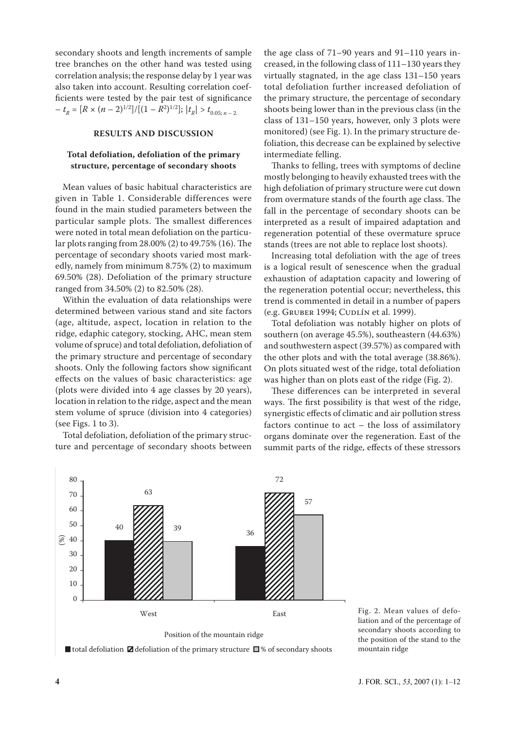secondary shoots and length increments of sample tree branches on the other hand was tested using correlation analysis; the response delay by 1 year was also taken into account. Resulting correlation coefficients were tested by the pair test of significance  $-t_R = [R \times (n-2)^{1/2}]/[(1 - R^2)^{1/2}]$ ;  $|t_R| > t_{0.05; n-2}$ .

#### **RESULTS AND DISCUSSION**

#### **Total defoliation, defoliation of the primary structure, percentage of secondary shoots**

Mean values of basic habitual characteristics are given in Table 1. Considerable differences were found in the main studied parameters between the particular sample plots. The smallest differences were noted in total mean defoliation on the particular plots ranging from 28.00% (2) to 49.75% (16). The percentage of secondary shoots varied most markedly, namely from minimum 8.75% (2) to maximum 69.50% (28). Defoliation of the primary structure ranged from 34.50% (2) to 82.50% (28).

Within the evaluation of data relationships were determined between various stand and site factors (age, altitude, aspect, location in relation to the ridge, edaphic category, stocking, AHC, mean stem volume of spruce) and total defoliation, defoliation of the primary structure and percentage of secondary shoots. Only the following factors show significant effects on the values of basic characteristics: age (plots were divided into 4 age classes by 20 years), location in relation to the ridge, aspect and the mean stem volume of spruce (division into 4 categories) (see Figs. 1 to 3).

Total defoliation, defoliation of the primary structure and percentage of secondary shoots between

the age class of 71–90 years and 91–110 years increased, in the following class of 111–130 years they virtually stagnated, in the age class 131–150 years total defoliation further increased defoliation of the primary structure, the percentage of secondary shoots being lower than in the previous class (in the class of 131–150 years, however, only 3 plots were monitored) (see Fig. 1). In the primary structure defoliation, this decrease can be explained by selective intermediate felling.

Thanks to felling, trees with symptoms of decline mostly belonging to heavily exhausted trees with the high defoliation of primary structure were cut down from overmature stands of the fourth age class. The fall in the percentage of secondary shoots can be interpreted as a result of impaired adaptation and regeneration potential of these overmature spruce stands (trees are not able to replace lost shoots).

Increasing total defoliation with the age of trees is a logical result of senescence when the gradual exhaustion of adaptation capacity and lowering of the regeneration potential occur; nevertheless, this trend is commented in detail in a number of papers (e.g. GRUBER 1994; CUDLÍN et al. 1999).

Total defoliation was notably higher on plots of southern (on average 45.5%), southeastern (44.63%) and southwestern aspect (39.57%) as compared with the other plots and with the total average (38.86%). On plots situated west of the ridge, total defoliation was higher than on plots east of the ridge (Fig. 2).

These differences can be interpreted in several ways. The first possibility is that west of the ridge, synergistic effects of climatic and air pollution stress factors continue to act – the loss of assimilatory organs dominate over the regeneration. East of the summit parts of the ridge, effects of these stressors



Fig. 2. Mean values of defoliation and of the percentage of secondary shoots according to the position of the stand to the mountain ridge

Position of the mountain ridge

 $\blacksquare$  total defoliation  $\blacksquare$  defoliation of the primary structure  $\blacksquare$ % of secondary shoots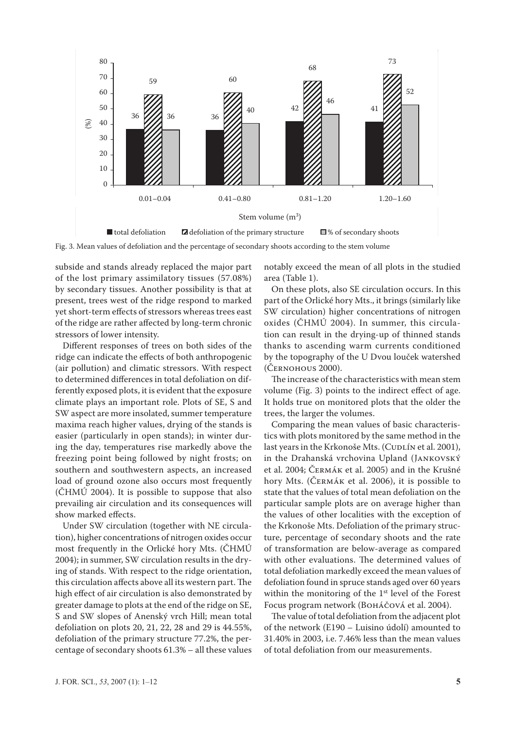

total defoliation  $\blacksquare$  defoliation of the primary structure  $\blacksquare$  % of secondary shoots

Fig. 3. Mean values of defoliation and the percentage of secondary shoots according to the stem volume

subside and stands already replaced the major part of the lost primary assimilatory tissues (57.08%) by secondary tissues. Another possibility is that at present, trees west of the ridge respond to marked yet short-term effects of stressors whereas trees east of the ridge are rather affected by long-term chronic stressors of lower intensity.

Different responses of trees on both sides of the ridge can indicate the effects of both anthropogenic (air pollution) and climatic stressors. With respect to determined differences in total defoliation on differently exposed plots, it is evident that the exposure climate plays an important role. Plots of SE, S and SW aspect are more insolated, summer temperature maxima reach higher values, drying of the stands is easier (particularly in open stands); in winter during the day, temperatures rise markedly above the freezing point being followed by night frosts; on southern and southwestern aspects, an increased load of ground ozone also occurs most frequently (ČHMÚ 2004). It is possible to suppose that also prevailing air circulation and its consequences will show marked effects.

Under SW circulation (together with NE circulation), higher concentrations of nitrogen oxides occur most frequently in the Orlické hory Mts. (ČHMÚ 2004); in summer, SW circulation results in the drying of stands. With respect to the ridge orientation, this circulation affects above all its western part. The high effect of air circulation is also demonstrated by greater damage to plots at the end of the ridge on SE, S and SW slopes of Anenský vrch Hill; mean total defoliation on plots 20, 21, 22, 28 and 29 is 44.55%, defoliation of the primary structure 77.2%, the percentage of secondary shoots 61.3% – all these values

notably exceed the mean of all plots in the studied area (Table 1).

On these plots, also SE circulation occurs. In this part of the Orlické hory Mts., it brings (similarly like SW circulation) higher concentrations of nitrogen oxides (ČHMÚ 2004). In summer, this circulation can result in the drying-up of thinned stands thanks to ascending warm currents conditioned by the topography of the U Dvou louček watershed  $(\check{C}$ ERNOHOUS 2000).

The increase of the characteristics with mean stem volume (Fig. 3) points to the indirect effect of age. It holds true on monitored plots that the older the trees, the larger the volumes.

Comparing the mean values of basic characteristics with plots monitored by the same method in the last years in the Krkonoše Mts. (CUDLÍN et al. 2001), in the Drahanská vrchovina Upland (Jankovský et al. 2004; Čermák et al. 2005) and in the Krušné hory Mts. (Čermák et al. 2006), it is possible to state that the values of total mean defoliation on the particular sample plots are on average higher than the values of other localities with the exception of the Krkonoše Mts. Defoliation of the primary structure, percentage of secondary shoots and the rate of transformation are below-average as compared with other evaluations. The determined values of total defoliation markedly exceed the mean values of defoliation found in spruce stands aged over 60 years within the monitoring of the  $1<sup>st</sup>$  level of the Forest Focus program network (BOHÁČOVÁ et al. 2004).

The value of total defoliation from the adjacent plot of the network (E190 – Luisino údolí) amounted to 31.40% in 2003, i.e. 7.46% less than the mean values of total defoliation from our measurements.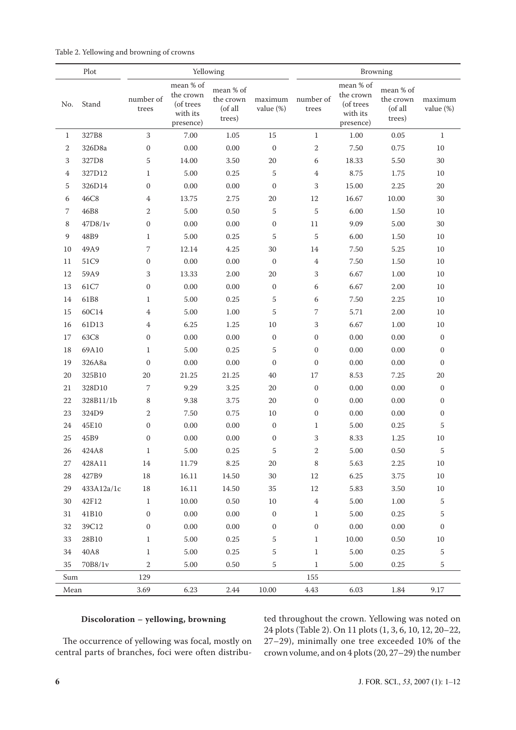|                | Plot       |                    |                                                              | Yellowing                                   |                      | Browning           |                                                              |                                             |                      |
|----------------|------------|--------------------|--------------------------------------------------------------|---------------------------------------------|----------------------|--------------------|--------------------------------------------------------------|---------------------------------------------|----------------------|
| No.            | Stand      | number of<br>trees | mean % of<br>the crown<br>(of trees<br>with its<br>presence) | mean % of<br>the crown<br>(of all<br>trees) | maximum<br>value (%) | number of<br>trees | mean % of<br>the crown<br>(of trees<br>with its<br>presence) | mean % of<br>the crown<br>(of all<br>trees) | maximum<br>value (%) |
| $\mathbf{1}$   | 327B8      | $\mathbf{3}$       | 7.00                                                         | 1.05                                        | 15                   | $\mathbf{1}$       | 1.00                                                         | 0.05                                        | $1\,$                |
| $\sqrt{2}$     | 326D8a     | $\boldsymbol{0}$   | 0.00                                                         | 0.00                                        | $\boldsymbol{0}$     | $\sqrt{2}$         | 7.50                                                         | 0.75                                        | 10                   |
| 3              | 327D8      | 5                  | 14.00                                                        | 3.50                                        | 20                   | 6                  | 18.33                                                        | 5.50                                        | 30                   |
| $\overline{4}$ | 327D12     | $\mathbf 1$        | 5.00                                                         | 0.25                                        | $\sqrt{5}$           | $\overline{4}$     | 8.75                                                         | 1.75                                        | 10                   |
| 5              | 326D14     | $\boldsymbol{0}$   | 0.00                                                         | 0.00                                        | $\boldsymbol{0}$     | 3                  | 15.00                                                        | 2.25                                        | 20                   |
| 6              | 46C8       | 4                  | 13.75                                                        | 2.75                                        | 20                   | 12                 | 16.67                                                        | 10.00                                       | 30                   |
| 7              | 46B8       | $\overline{2}$     | 5.00                                                         | 0.50                                        | 5                    | $\mathbf 5$        | 6.00                                                         | 1.50                                        | 10                   |
| 8              | 47D8/1v    | $\overline{0}$     | 0.00                                                         | 0.00                                        | $\boldsymbol{0}$     | 11                 | 9.09                                                         | 5.00                                        | 30                   |
| 9              | 48B9       | 1                  | 5.00                                                         | 0.25                                        | 5                    | $\sqrt{5}$         | 6.00                                                         | 1.50                                        | 10                   |
| 10             | 49A9       | 7                  | 12.14                                                        | 4.25                                        | 30                   | 14                 | 7.50                                                         | 5.25                                        | $10\,$               |
| 11             | 51C9       | $\boldsymbol{0}$   | 0.00                                                         | 0.00                                        | $\boldsymbol{0}$     | $\,4\,$            | 7.50                                                         | 1.50                                        | 10                   |
| 12             | 59A9       | 3                  | 13.33                                                        | 2.00                                        | 20                   | 3                  | 6.67                                                         | 1.00                                        | 10                   |
| 13             | 61C7       | $\overline{0}$     | 0.00                                                         | 0.00                                        | $\boldsymbol{0}$     | 6                  | 6.67                                                         | 2.00                                        | 10                   |
| 14             | 61B8       | $\mathbf{1}$       | 5.00                                                         | 0.25                                        | $\sqrt{5}$           | 6                  | 7.50                                                         | 2.25                                        | 10                   |
| 15             | 60C14      | 4                  | 5.00                                                         | 1.00                                        | 5                    | 7                  | 5.71                                                         | 2.00                                        | $10\,$               |
| 16             | 61D13      | 4                  | 6.25                                                         | 1.25                                        | 10                   | $\,3$              | 6.67                                                         | 1.00                                        | $10\,$               |
| 17             | 63C8       | $\overline{0}$     | 0.00                                                         | 0.00                                        | $\mathbf{0}$         | $\boldsymbol{0}$   | 0.00                                                         | 0.00                                        | $\mathbf{0}$         |
| 18             | 69A10      | 1                  | 5.00                                                         | 0.25                                        | 5                    | $\boldsymbol{0}$   | 0.00                                                         | 0.00                                        | $\mathbf{0}$         |
| 19             | 326A8a     | $\boldsymbol{0}$   | 0.00                                                         | $0.00\,$                                    | $\boldsymbol{0}$     | $\boldsymbol{0}$   | 0.00                                                         | 0.00                                        | $\boldsymbol{0}$     |
| 20             | 325B10     | 20                 | 21.25                                                        | 21.25                                       | 40                   | 17                 | 8.53                                                         | 7.25                                        | 20                   |
| 21             | 328D10     | 7                  | 9.29                                                         | 3.25                                        | 20                   | $\boldsymbol{0}$   | 0.00                                                         | 0.00                                        | $\mathbf{0}$         |
| 22             | 328B11/1b  | 8                  | 9.38                                                         | 3.75                                        | 20                   | $\boldsymbol{0}$   | 0.00                                                         | 0.00                                        | $\boldsymbol{0}$     |
| 23             | 324D9      | 2                  | 7.50                                                         | 0.75                                        | 10                   | $\boldsymbol{0}$   | 0.00                                                         | 0.00                                        | $\mathbf{0}$         |
| 24             | 45E10      | $\overline{0}$     | $0.00\,$                                                     | 0.00                                        | $\boldsymbol{0}$     | $\mathbf{1}$       | 5.00                                                         | 0.25                                        | 5                    |
| 25             | 45B9       | $\boldsymbol{0}$   | 0.00                                                         | 0.00                                        | $\boldsymbol{0}$     | 3                  | 8.33                                                         | 1.25                                        | 10                   |
| 26             | 424A8      | $\,1$              | $5.00\,$                                                     | $0.25\,$                                    | 5                    | $\boldsymbol{2}$   | 5.00                                                         | $0.50\,$                                    | $\sqrt{5}$           |
| 27             | 428A11     | 14                 | 11.79                                                        | 8.25                                        | 20                   | $\,8\,$            | 5.63                                                         | 2.25                                        | 10                   |
| $28\,$         | 427B9      | 18                 | 16.11                                                        | 14.50                                       | 30                   | 12                 | 6.25                                                         | 3.75                                        | 10                   |
| 29             | 433A12a/1c | 18                 | 16.11                                                        | 14.50                                       | 35                   | $12\,$             | 5.83                                                         | 3.50                                        | 10                   |
| $30\,$         | 42F12      | $\mathbf{1}$       | 10.00                                                        | 0.50                                        | $10\,$               | $\bf 4$            | 5.00                                                         | $1.00\,$                                    | $\sqrt{5}$           |
| 31             | 41B10      | $\boldsymbol{0}$   | $0.00\,$                                                     | 0.00                                        | $\boldsymbol{0}$     | $\mathbf{1}$       | 5.00                                                         | 0.25                                        | 5                    |
| 32             | 39C12      | 0                  | $0.00\,$                                                     | 0.00                                        | $\boldsymbol{0}$     | $\boldsymbol{0}$   | 0.00                                                         | 0.00                                        | $\boldsymbol{0}$     |
| 33             | 28B10      | $\mathbf{1}$       | 5.00                                                         | 0.25                                        | 5                    | $\mathbf{1}$       | 10.00                                                        | 0.50                                        | 10                   |
| $34\,$         | 40A8       | $\mathbf{1}$       | 5.00                                                         | $0.25\,$                                    | 5                    | $\mathbf{1}$       | 5.00                                                         | 0.25                                        | 5                    |
| 35             | 70B8/1v    | $\mathbf{2}$       | 5.00                                                         | 0.50                                        | 5                    | $1\,$              | 5.00                                                         | 0.25                                        | $\sqrt{5}$           |
| Sum            |            | 129                |                                                              |                                             |                      | 155                |                                                              |                                             |                      |
| Mean           |            | 3.69               | 6.23                                                         | 2.44                                        | 10.00                | 4.43               | 6.03                                                         | 1.84                                        | 9.17                 |

## Table 2. Yellowing and browning of crowns

## **Discoloration – yellowing, browning**

The occurrence of yellowing was focal, mostly on central parts of branches, foci were often distribu-

ted throughout the crown. Yellowing was noted on 24 plots (Table 2). On 11 plots (1, 3, 6, 10, 12, 20–22, 27–29), minimally one tree exceeded 10% of the crown volume, and on 4 plots (20, 27–29) the number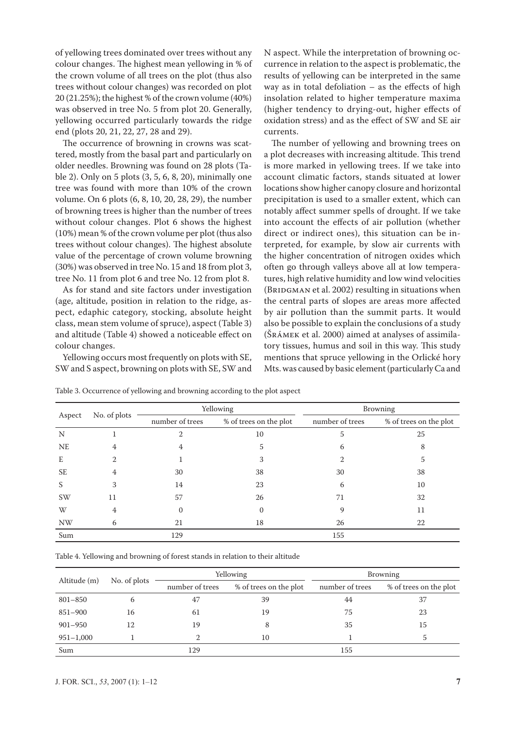of yellowing trees dominated over trees without any colour changes. The highest mean yellowing in % of the crown volume of all trees on the plot (thus also trees without colour changes) was recorded on plot 20 (21.25%); the highest % of the crown volume (40%) was observed in tree No. 5 from plot 20. Generally, yellowing occurred particularly towards the ridge end (plots 20, 21, 22, 27, 28 and 29).

The occurrence of browning in crowns was scattered, mostly from the basal part and particularly on older needles. Browning was found on 28 plots (Table 2). Only on 5 plots (3, 5, 6, 8, 20), minimally one tree was found with more than 10% of the crown volume. On 6 plots (6, 8, 10, 20, 28, 29), the number of browning trees is higher than the number of trees without colour changes. Plot 6 shows the highest (10%) mean % of the crown volume per plot (thus also trees without colour changes). The highest absolute value of the percentage of crown volume browning (30%) was observed in tree No. 15 and 18 from plot 3, tree No. 11 from plot 6 and tree No. 12 from plot 8.

As for stand and site factors under investigation (age, altitude, position in relation to the ridge, aspect, edaphic category, stocking, absolute height class, mean stem volume of spruce), aspect (Table 3) and altitude (Table 4) showed a noticeable effect on colour changes.

Yellowing occurs most frequently on plots with SE, SW and S aspect, browning on plots with SE, SW and N aspect. While the interpretation of browning occurrence in relation to the aspect is problematic, the results of yellowing can be interpreted in the same way as in total defoliation – as the effects of high insolation related to higher temperature maxima (higher tendency to drying-out, higher effects of oxidation stress) and as the effect of SW and SE air currents.

The number of yellowing and browning trees on a plot decreases with increasing altitude. This trend is more marked in yellowing trees. If we take into account climatic factors, stands situated at lower locations show higher canopy closure and horizontal precipitation is used to a smaller extent, which can notably affect summer spells of drought. If we take into account the effects of air pollution (whether direct or indirect ones), this situation can be interpreted, for example, by slow air currents with the higher concentration of nitrogen oxides which often go through valleys above all at low temperatures, high relative humidity and low wind velocities (BRIDGMAN et al. 2002) resulting in situations when the central parts of slopes are areas more affected by air pollution than the summit parts. It would also be possible to explain the conclusions of a study (Šrámek et al. 2000) aimed at analyses of assimilatory tissues, humus and soil in this way. This study mentions that spruce yellowing in the Orlické hory Mts. was caused by basic element (particularly Ca and

| Aspect    | No. of plots |                 | Yellowing              | Browning        |                        |  |
|-----------|--------------|-----------------|------------------------|-----------------|------------------------|--|
|           |              | number of trees | % of trees on the plot | number of trees | % of trees on the plot |  |
| N         |              | 2               | 10                     | Ь               | 25                     |  |
| <b>NE</b> | 4            | 4               | 5                      | 6               | 8                      |  |
| E         | 2            |                 | 3                      |                 | 5                      |  |
| <b>SE</b> | 4            | 30              | 38                     | 30              | 38                     |  |
| S         | 3            | 14              | 23                     | 6               | 10                     |  |
| SW        | 11           | 57              | 26                     | 71              | 32                     |  |
| W         | 4            | 0               | 0                      | 9               | 11                     |  |
| <b>NW</b> | 6            | 21              | 18                     | 26              | 22                     |  |
| Sum       |              | 129             |                        | 155             |                        |  |

Table 3. Occurrence of yellowing and browning according to the plot aspect

Table 4. Yellowing and browning of forest stands in relation to their altitude

| Altitude (m)  | No. of plots |                 | Yellowing              | <b>Browning</b> |                        |  |
|---------------|--------------|-----------------|------------------------|-----------------|------------------------|--|
|               |              | number of trees | % of trees on the plot | number of trees | % of trees on the plot |  |
| $801 - 850$   | 6            | 47              | 39                     | 44              | 37                     |  |
| 851-900       | 16           | 61              | 19                     | 75              | 23                     |  |
| $901 - 950$   | 12           | 19              |                        | 35              | 15                     |  |
| $951 - 1,000$ |              |                 | 10                     |                 |                        |  |
| Sum           |              | 129             |                        | 155             |                        |  |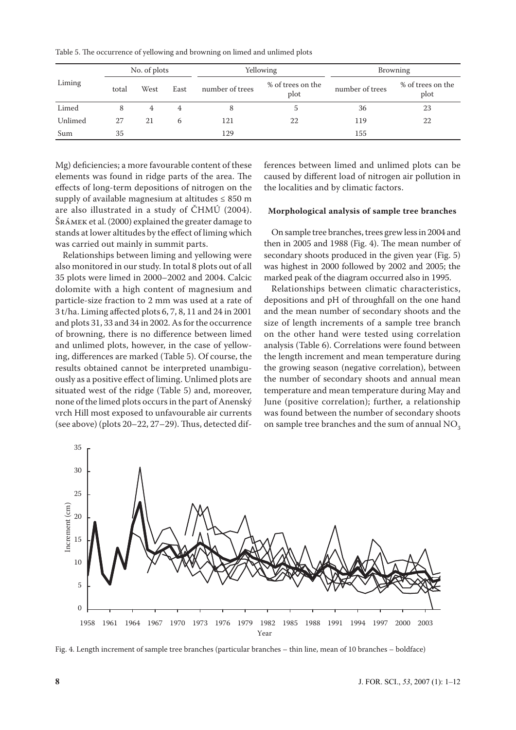Table 5. The occurrence of yellowing and browning on limed and unlimed plots

|         | No. of plots |      |      | Yellowing       | <b>Browning</b>           |                 |                           |
|---------|--------------|------|------|-----------------|---------------------------|-----------------|---------------------------|
| Liming  | total        | West | East | number of trees | % of trees on the<br>plot | number of trees | % of trees on the<br>plot |
| Limed   | 8            | 4    | 4    | 8               | G                         | 36              | 23                        |
| Unlimed | 27           | 21   |      | 121             | 22                        | 119             | 22                        |
| Sum     | 35           |      |      | 129             |                           | 155             |                           |

Mg) deficiencies; a more favourable content of these elements was found in ridge parts of the area. The effects of long-term depositions of nitrogen on the supply of available magnesium at altitudes  $\leq 850$  m are also illustrated in a study of ČHMÚ (2004). Šrámek et al. (2000) explained the greater damage to stands at lower altitudes by the effect of liming which was carried out mainly in summit parts.

Relationships between liming and yellowing were also monitored in our study. In total 8 plots out of all 35 plots were limed in 2000–2002 and 2004. Calcic dolomite with a high content of magnesium and particle-size fraction to 2 mm was used at a rate of 3 t/ha. Liming affected plots 6, 7, 8, 11 and 24 in 2001 and plots 31, 33 and 34 in 2002. As for the occurrence of browning, there is no difference between limed and unlimed plots, however, in the case of yellowing, differences are marked (Table 5). Of course, the results obtained cannot be interpreted unambiguously as a positive effect of liming. Unlimed plots are situated west of the ridge (Table 5) and, moreover, none of the limed plots occurs in the part of Anenský vrch Hill most exposed to unfavourable air currents (see above) (plots 20–22, 27–29). Thus, detected differences between limed and unlimed plots can be caused by different load of nitrogen air pollution in the localities and by climatic factors.

#### **Morphological analysis of sample tree branches**

On sample tree branches, trees grew less in 2004 and then in 2005 and 1988 (Fig. 4). The mean number of secondary shoots produced in the given year (Fig. 5) was highest in 2000 followed by 2002 and 2005; the marked peak of the diagram occurred also in 1995.

Relationships between climatic characteristics, depositions and pH of throughfall on the one hand and the mean number of secondary shoots and the size of length increments of a sample tree branch on the other hand were tested using correlation analysis (Table 6). Correlations were found between the length increment and mean temperature during the growing season (negative correlation), between the number of secondary shoots and annual mean temperature and mean temperature during May and June (positive correlation); further, a relationship was found between the number of secondary shoots on sample tree branches and the sum of annual  $NO<sub>3</sub>$ 



Fig. 4. Length increment of sample tree branches (particular branches – thin line, mean of 10 branches – boldface)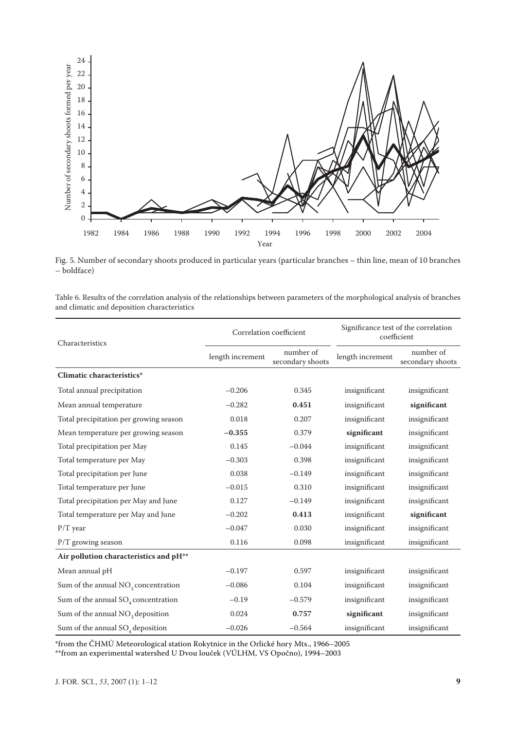

Fig. 5. Number of secondary shoots produced in particular years (particular branches – thin line, mean of 10 branches – boldface)

| Table 6. Results of the correlation analysis of the relationships between parameters of the morphological analysis of branches |  |  |
|--------------------------------------------------------------------------------------------------------------------------------|--|--|
| and climatic and deposition characteristics                                                                                    |  |  |

| Characteristics                        | Correlation coefficient |                               | Significance test of the correlation<br>coefficient |                               |  |
|----------------------------------------|-------------------------|-------------------------------|-----------------------------------------------------|-------------------------------|--|
|                                        | length increment        | number of<br>secondary shoots | length increment                                    | number of<br>secondary shoots |  |
| Climatic characteristics*              |                         |                               |                                                     |                               |  |
| Total annual precipitation             | $-0.206$                | 0.345                         | insignificant                                       | insignificant                 |  |
| Mean annual temperature                | $-0.282$                | 0.451                         | insignificant                                       | significant                   |  |
| Total precipitation per growing season | 0.018                   | 0.207                         | insignificant                                       | insignificant                 |  |
| Mean temperature per growing season    | $-0.355$                | 0.379                         | significant                                         | insignificant                 |  |
| Total precipitation per May            | 0.145                   | $-0.044$                      | insignificant                                       | insignificant                 |  |
| Total temperature per May              | $-0.303$                | 0.398                         | insignificant                                       | insignificant                 |  |
| Total precipitation per June           | 0.038                   | $-0.149$                      | insignificant                                       | insignificant                 |  |
| Total temperature per June             | $-0.015$                | 0.310                         | insignificant                                       | insignificant                 |  |
| Total precipitation per May and June   | 0.127                   | $-0.149$                      | insignificant                                       | insignificant                 |  |
| Total temperature per May and June     | $-0.202$                | 0.413                         | insignificant                                       | significant                   |  |
| $P/T$ year                             | $-0.047$                | 0.030                         | insignificant                                       | insignificant                 |  |
| P/T growing season                     | 0.116                   | 0.098                         | insignificant                                       | insignificant                 |  |
| Air pollution characteristics and pH** |                         |                               |                                                     |                               |  |
| Mean annual pH                         | $-0.197$                | 0.597                         | insignificant                                       | insignificant                 |  |
| Sum of the annual $NO3$ concentration  | $-0.086$                | 0.104                         | insignificant                                       | insignificant                 |  |
| Sum of the annual $SO_4$ concentration | $-0.19$                 | $-0.579$                      | insignificant                                       | insignificant                 |  |
| Sum of the annual $NO3$ deposition     | 0.024                   | 0.757                         | significant                                         | insignificant                 |  |
| Sum of the annual $SO_4$ deposition    | $-0.026$                | $-0.564$                      | insignificant                                       | insignificant                 |  |

\*from the ČHMÚ Meteorological station Rokytnice in the Orlické hory Mts., 1966–2005 \*\*from an experimental watershed U Dvou louček (VÚLHM, VS Opočno), 1994–2003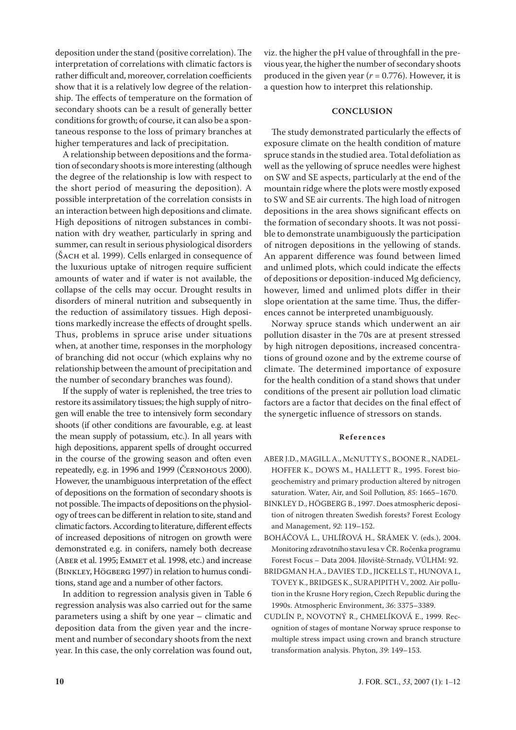deposition under the stand (positive correlation). The interpretation of correlations with climatic factors is rather difficult and, moreover, correlation coefficients show that it is a relatively low degree of the relationship. The effects of temperature on the formation of secondary shoots can be a result of generally better conditions for growth; of course, it can also be a spontaneous response to the loss of primary branches at higher temperatures and lack of precipitation.

A relationship between depositions and the formation of secondary shoots is more interesting (although the degree of the relationship is low with respect to the short period of measuring the deposition). A possible interpretation of the correlation consists in an interaction between high depositions and climate. High depositions of nitrogen substances in combination with dry weather, particularly in spring and summer, can result in serious physiological disorders (Šach et al. 1999). Cells enlarged in consequence of the luxurious uptake of nitrogen require sufficient amounts of water and if water is not available, the collapse of the cells may occur. Drought results in disorders of mineral nutrition and subsequently in the reduction of assimilatory tissues. High depositions markedly increase the effects of drought spells. Thus, problems in spruce arise under situations when, at another time, responses in the morphology of branching did not occur (which explains why no relationship between the amount of precipitation and the number of secondary branches was found).

If the supply of water is replenished, the tree tries to restore its assimilatory tissues; the high supply of nitrogen will enable the tree to intensively form secondary shoots (if other conditions are favourable, e.g. at least the mean supply of potassium, etc.). In all years with high depositions, apparent spells of drought occurred in the course of the growing season and often even repeatedly, e.g. in 1996 and 1999 (ČERNOHOUS 2000). However, the unambiguous interpretation of the effect of depositions on the formation of secondary shoots is not possible. The impacts of depositions on the physiology of trees can be different in relation to site, stand and climatic factors. According to literature, different effects of increased depositions of nitrogen on growth were demonstrated e.g. in conifers, namely both decrease (ABER et al. 1995; EMMET et al. 1998, etc.) and increase (Binkley, Högberg 1997) in relation to humus conditions, stand age and a number of other factors.

In addition to regression analysis given in Table 6 regression analysis was also carried out for the same parameters using a shift by one year – climatic and deposition data from the given year and the increment and number of secondary shoots from the next year. In this case, the only correlation was found out, viz. the higher the pH value of throughfall in the previous year, the higher the number of secondary shoots produced in the given year  $(r = 0.776)$ . However, it is a question how to interpret this relationship.

#### **CONCLUSION**

The study demonstrated particularly the effects of exposure climate on the health condition of mature spruce stands in the studied area. Total defoliation as well as the yellowing of spruce needles were highest on SW and SE aspects, particularly at the end of the mountain ridge where the plots were mostly exposed to SW and SE air currents. The high load of nitrogen depositions in the area shows significant effects on the formation of secondary shoots. It was not possible to demonstrate unambiguously the participation of nitrogen depositions in the yellowing of stands. An apparent difference was found between limed and unlimed plots, which could indicate the effects of depositions or deposition-induced Mg deficiency, however, limed and unlimed plots differ in their slope orientation at the same time. Thus, the differences cannot be interpreted unambiguously.

Norway spruce stands which underwent an air pollution disaster in the 70s are at present stressed by high nitrogen depositions, increased concentrations of ground ozone and by the extreme course of climate. The determined importance of exposure for the health condition of a stand shows that under conditions of the present air pollution load climatic factors are a factor that decides on the final effect of the synergetic influence of stressors on stands.

#### **R e f e r e n c e s**

- ABER J.D., MAGILL A., McNUTTY S., BOONE R., NADEL-HOFFER K., DOWS M., HALLETT R., 1995. Forest biogeochemistry and primary production altered by nitrogen saturation. Water, Air, and Soil Pollution*, 85*: 1665–1670.
- BINKLEY D., HÖGBERG B., 1997. Does atmospheric deposition of nitrogen threaten Swedish forests? Forest Ecology and Management, *92*: 119–152.
- BOHÁČOVÁ L., UHLÍŘOVÁ H., ŠRÁMEK V. (eds.), 2004. Monitoring zdravotního stavu lesa v ČR. Ročenka programu Forest Focus – Data 2004. Jíloviště-Strnady, VÚLHM: 92.
- BRIDGMAN H.A., DAVIES T.D., JICKELLS T., HUNOVA I., TOVEY K., BRIDGES K., SURAPIPITH V., 2002. Air pollution in the Krusne Hory region, Czech Republic during the 1990s. Atmospheric Environment, *36*: 3375–3389.
- CUDLÍN P., NOVOTNÝ R., CHMELÍKOVÁ E., 1999. Recognition of stages of montane Norway spruce response to multiple stress impact using crown and branch structure transformation analysis. Phyton, *39*: 149–153.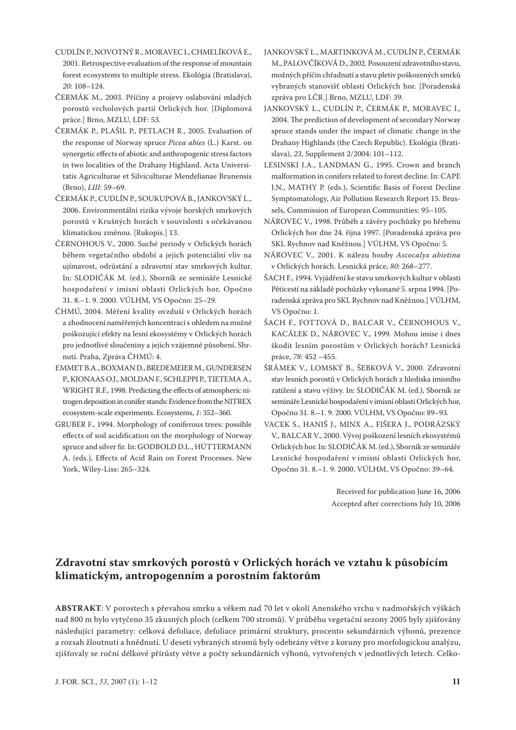- CUDLÍN P., NOVOTNÝ R., MORAVEC I., CHMELÍKOVÁ E., 2001. Retrospective evaluation of the response of mountain forest ecosystems to multiple stress. Ekológia (Bratislava), *20*: 108–124.
- ČERMÁK M., 2003. Příčiny a projevy oslabování mladých porostů vrcholových partií Orlických hor. [Diplomová práce.] Brno, MZLU, LDF: 53.
- ČERMÁK P., PLAŠIL P., PETLACH R., 2005. Evaluation of the response of Norway spruce *Picea abies* (L.) Karst. on synergetic effects of abiotic and anthropogenic stress factors in two localities of the Drahany Highland. Acta Universitatis Agriculturae et Silviculturae Mendelianae Brunensis (Brno), *LIII*: 59–69.
- ČERMÁK P., CUDLÍN P., SOUKUPOVÁ B., JANKOVSKÝ L., 2006. Environmentální rizika vývoje horských smrkových porostů v Krušných horách v souvislosti s očekávanou klimatickou změnou. [Rukopis.] 13.
- ČERNOHOUS V., 2000. Suché periody v Orlických horách během vegetačního období a jejich potenciální vliv na ujímavost, odrůstání a zdravotní stav smrkových kultur. In: SLODIČÁK M. (ed.), Sborník ze semináře Lesnické hospodaření v imisní oblasti Orlických hor, Opočno 31. 8.–1. 9. 2000. VÚLHM, VS Opočno: 25–29.
- ČHMÚ, 2004. Měření kvality ovzduší v Orlických horách a zhodnocení naměřených koncentrací s ohledem na možné poškozující efekty na lesní ekosystémy v Orlických horách pro jednotlivé sloučeniny a jejich vzájemné působení. Shrnutí. Praha, Zpráva ČHMÚ: 4.
- EMMET B.A., BOXMAN D., BREDEMEIER M., GUNDERSEN P., KJONAAS O.J., MOLDAN F., SCHLEPPI P., TIETEMA A., WRIGHT R.F., 1998. Predicting the effects of atmospheric nitrogen deposition in conifer stands: Evidence from the NITREX ecosystem-scale experiments. Ecosystems, *1*: 352–360.
- GRUBER F., 1994. Morphology of coniferous trees: possible effects of soil acidification on the morphology of Norway spruce and silver fir. In: GODBOLD D.L., HÜTTERMANN A. (eds.), Effects of Acid Rain on Forest Processes. New York, Wiley-Liss: 265–324.
- JANKOVSKÝ L., MARTINKOVÁ M., CUDLÍN P., ČERMÁK M., PALOVČÍKOVÁ D., 2002. Posouzení zdravotního stavu, možných příčin chřadnutí a stavu pletiv poškozených smrků vybraných stanovišť oblasti Orlických hor. [Poradenská zpráva pro LČR.] Brno, MZLU, LDF: 39.
- JANKOVSKÝ L., CUDLÍN P., ČERMÁK P., MORAVEC I., 2004. The prediction of development of secondary Norway spruce stands under the impact of climatic change in the Drahany Highlands (the Czech Republic). Ekológia (Bratislava), *23*, Supplement 2/2004: 101–112.
- LESINSKI J.A., LANDMAN G., 1995. Crown and branch malformation in conifers related to forest decline. In: CAPE J.N., MATHY P. (eds.), Scientific Basis of Forest Decline Symptomatology, Air Pollution Research Report 15. Brussels, Commission of European Communities: 95–105.
- NÁROVEC V., 1998. Průběh a závěry pochůzky po hřebenu Orlických hor dne 24. října 1997. [Poradenská zpráva pro SKL Rychnov nad Kněžnou.] VÚLHM, VS Opočno: 5.
- NÁROVEC V., 2001. K nálezu houby *Ascocalyx abietina* v Orlických horách. Lesnická práce, *80*: 268–277.
- ŠACH F., 1994. Vyjádření ke stavu smrkových kultur v oblasti Pěticestí na základě pochůzky vykonané 5. srpna 1994. [Poradenská zpráva pro SKL Rychnov nad Kněžnou.] VÚLHM, VS Opočno: 1.
- ŠACH F., FOTTOVÁ D., BALCAR V., ČERNOHOUS V., KACÁLEK D., NÁROVEC V., 1999. Mohou imise i dnes škodit lesním porostům v Orlických horách? Lesnická práce, *78*: 452 –455.
- ŠRÁMEK V., LOMSKÝ B., ŠEBKOVÁ V., 2000. Zdravotní stav lesních porostů v Orlických horách z hlediska imisního zatížení a stavu výživy. In: SLODIČÁK M. (ed.), Sborník ze semináře Lesnické hospodaření v imisní oblasti Orlických hor, Opočno 31. 8.–1. 9. 2000. VÚLHM, VS Opočno: 89–93.
- VACEK S., HANIŠ J., MINX A., FIŠERA J., PODRÁZSKÝ V., BALCAR V., 2000. Vývoj poškození lesních ekosystémů Orlických hor. In: SLODIČÁK M. (ed.), Sborník ze semináře Lesnické hospodaření v imisní oblasti Orlických hor, Opočno 31. 8.–1. 9. 2000. VÚLHM, VS Opočno: 39–64.

Received for publication June 16, 2006 Accepted after corrections July 10, 2006

# **Zdravotní stav smrkových porostů v Orlických horách ve vztahu k působícím klimatickým, antropogenním a porostním faktorům**

**ABSTRAKT**: V porostech s převahou smrku a věkem nad 70 let v okolí Anenského vrchu v nadmořských výškách nad 800 m bylo vytyčeno 35 zkusných ploch (celkem 700 stromů). V průběhu vegetační sezony 2005 byly zjišťovány následující parametry: celková defoliace, defoliace primární struktury, procento sekundárních výhonů, prezence a rozsah žloutnutí a hnědnutí. U deseti vybraných stromů byly odebrány větve z koruny pro morfologickou analýzu, zjišťovaly se roční délkové přírůsty větve a počty sekundárních výhonů, vytvořených v jednotlivých letech. Celko